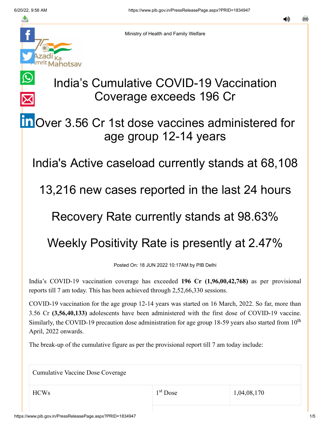$\bigcirc$ 

 $\overline{\mathsf{X}}$ 



Ministry of Health and Family Welfare

# India's Cumulative COVID-19 Vaccination Coverage exceeds 196 Cr

# **in** [O](https://www.linkedin.com/shareArticle?mini=true&url=https://pib.gov.in/PressReleasePage.aspx?PRID=1834947&title=India%E2%80%99s%20Cumulative%20COVID-19%20Vaccination%20Coverage%20exceeds%20196%20Cr&summary=My%20favorite%20developer%20program&source=LinkedIn)ver 3.56 Cr 1st dose vaccines administered for age group 12-14 years

India's Active caseload currently stands at 68,108

13,216 new cases reported in the last 24 hours

### Recovery Rate currently stands at 98.63%

## Weekly Positivity Rate is presently at 2.47%

Posted On: 18 JUN 2022 10:17AM by PIB Delhi

India's COVID-19 vaccination coverage has exceeded **196 Cr (1,96,00,42,768)** as per provisional reports till 7 am today. This has been achieved through 2,52,66,330 sessions.

COVID-19 vaccination for the age group 12-14 years was started on 16 March, 2022. So far, more than 3.56 Cr **(3,56,40,133)** adolescents have been administered with the first dose of COVID-19 vaccine. Similarly, the COVID-19 precaution dose administration for age group 18-59 years also started from  $10<sup>th</sup>$ April, 2022 onwards.

The break-up of the cumulative figure as per the provisional report till 7 am today include:

Cumulative Vaccine Dose Coverage

1<sup>st</sup> Dose

 $1^{\text{st}}$  Dose 1,04,08,170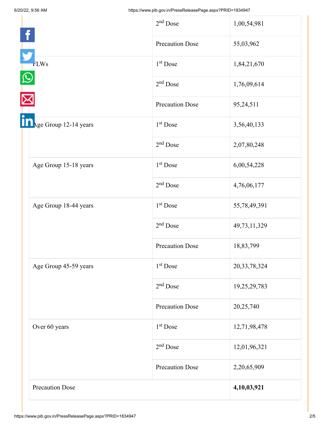|                        | $2nd$ Dose             | 1,00,54,981     |
|------------------------|------------------------|-----------------|
|                        | <b>Precaution Dose</b> | 55,03,962       |
| <b>FLWs</b>            | 1 <sup>st</sup> Dose   | 1,84,21,670     |
|                        | $2nd$ Dose             | 1,76,09,614     |
|                        | <b>Precaution Dose</b> | 95,24,511       |
| Age Group 12-14 years  | 1 <sup>st</sup> Dose   | 3,56,40,133     |
|                        | $2nd$ Dose             | 2,07,80,248     |
| Age Group 15-18 years  | $1st$ Dose             | 6,00,54,228     |
|                        | $2nd$ Dose             | 4,76,06,177     |
| Age Group 18-44 years  | 1 <sup>st</sup> Dose   | 55,78,49,391    |
|                        | $2nd$ Dose             | 49,73,11,329    |
|                        | <b>Precaution Dose</b> | 18,83,799       |
| Age Group 45-59 years  | 1 <sup>st</sup> Dose   | 20, 33, 78, 324 |
|                        | $2nd$ Dose             | 19,25,29,783    |
|                        | <b>Precaution Dose</b> | 20,25,740       |
| Over 60 years          | $1st$ Dose             | 12,71,98,478    |
|                        | $2nd$ Dose             | 12,01,96,321    |
|                        | <b>Precaution Dose</b> | 2,20,65,909     |
| <b>Precaution Dose</b> |                        | 4,10,03,921     |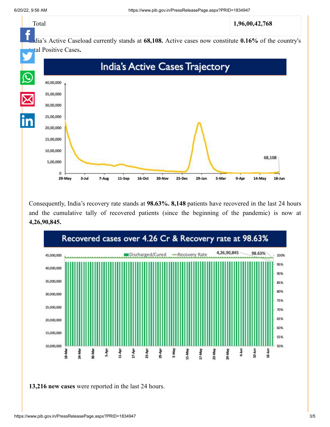

Consequently, India's recovery rate stands at **98.63%. 8,148** patients have recovered in the last 24 hours and the cumulative tally of recovered patients (since the beginning of the pandemic) is now at **4,26,90,845.**



**13,216 new cases** were reported in the last 24 hours.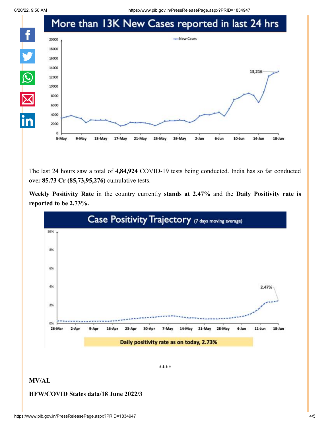6/20/22, 9:56 AM https://www.pib.gov.in/PressReleasePage.aspx?PRID=1834947



The last 24 hours saw a total of **4,84,924** COVID-19 tests being conducted. India has so far conducted over **85.73 Cr (85,73,95,276)** cumulative tests.

**Weekly Positivity Rate** in the country currently **stands at 2.47%** and the **Daily Positivity rate is reported to be 2.73%.**



**MV/AL**

#### **HFW/COVID States data/18 June 2022/3**